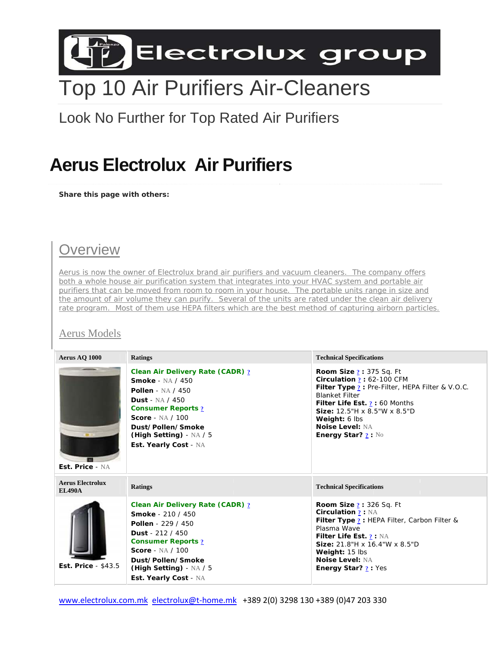

# **Top 10 Air Purifiers Air-Cleaners**

Look No Further for Top Rated Air Purifiers

## **Aerus Electrolux Air Purifiers**

Share this page with others:

### Overview

Aerus is now the owner of Electrolux brand air purifiers and vacuum cleaners. The company offers both a whole house air purification system that integrates into your HVAC system and portable air purifiers that can be moved from room to room in your house. The portable units range in size and the amount of air volume they can purify. Several of the units are rated under the clean air delivery rate program. Most of them use HEPA filters which are the best method of capturing airborn particles.

### Aerus Models

| Aerus AQ 1000                            | <b>Ratings</b>                                                                                                                                                                                                                                                 | <b>Technical Specifications</b>                                                                                                                                                                                                                                                        |
|------------------------------------------|----------------------------------------------------------------------------------------------------------------------------------------------------------------------------------------------------------------------------------------------------------------|----------------------------------------------------------------------------------------------------------------------------------------------------------------------------------------------------------------------------------------------------------------------------------------|
| Est. Price - NA                          | Clean Air Delivery Rate (CADR) ?<br><b>Smoke - NA / 450</b><br><b>Pollen</b> - NA / 450<br>Dust - $NA / 450$<br><b>Consumer Reports 2</b><br>Score - $NA / 100$<br>Dust/Pollen/Smoke<br>(High Setting) - $NA / 5$<br>Est. Yearly Cost - NA                     | <b>Room Size ?: 375 Sq. Ft</b><br>Circulation $2:62-100$ CFM<br>Filter Type ? : Pre-Filter, HEPA Filter & V.O.C.<br><b>Blanket Filter</b><br>Filter Life Est. ? : 60 Months<br>Size: 12.5"H x 8.5"W x 8.5"D<br>Weight: 6 lbs<br><b>Noise Level: NA</b><br><b>Energy Star?</b> $? : No$ |
| <b>Aerus Electrolux</b><br><b>EL490A</b> | <b>Ratings</b>                                                                                                                                                                                                                                                 | <b>Technical Specifications</b>                                                                                                                                                                                                                                                        |
| <b>Est. Price - \$43.5</b>               | <b>Clean Air Delivery Rate (CADR) ?</b><br><b>Smoke</b> - 210 / 450<br><b>Pollen</b> - 229 / 450<br><b>Dust</b> - 212 / 450<br><b>Consumer Reports 2</b><br><b>Score</b> - NA / 100<br>Dust/Pollen/Smoke<br>(High Setting) - $NA / 5$<br>Est. Yearly Cost - NA | <b>Room Size ?: 326 Sq. Ft</b><br><b>Circulation ?: NA</b><br><b>Filter Type ?: HEPA Filter, Carbon Filter &amp;</b><br>Plasma Wave<br>Filter Life Est. ? : NA<br>Size: 21.8"H x 16.4"W x 8.5"D<br>Weight: 15 lbs<br><b>Noise Level: NA</b><br><b>Energy Star?</b> ? : Yes             |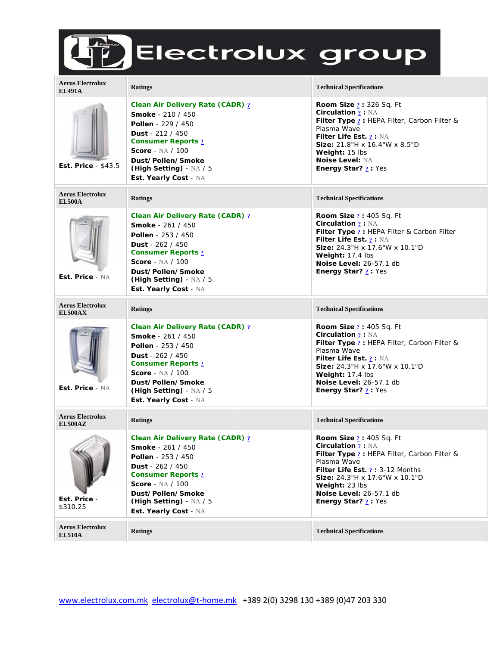# ED Electrolux group

| <b>Aerus Electrolux</b><br><b>EL491A</b>  | <b>Ratings</b>                                                                                                                                                                                                                                              | <b>Technical Specifications</b>                                                                                                                                                                                                                                                                                     |
|-------------------------------------------|-------------------------------------------------------------------------------------------------------------------------------------------------------------------------------------------------------------------------------------------------------------|---------------------------------------------------------------------------------------------------------------------------------------------------------------------------------------------------------------------------------------------------------------------------------------------------------------------|
| Est. Price $-$ \$43.5                     | Clean Air Delivery Rate (CADR) ?<br><b>Smoke</b> - 210 / 450<br><b>Pollen</b> - 229 / 450<br><b>Dust</b> - $212 / 450$<br><b>Consumer Reports ?</b><br><b>Score</b> - NA / 100<br>Dust/Pollen/Smoke<br>(High Setting) - $NA / 5$<br>Est. Yearly Cost - NA   | <b>Room Size <math>?</math>: 326 Sq. Ft</b><br><b>Circulation 2: NA</b><br>Filter Type ? : HEPA Filter, Carbon Filter &<br>Plasma Wave<br>Filter Life Est. ? : NA<br>Size: 21.8"H x 16.4"W x 8.5"D<br>Weight: 15 lbs<br><b>Noise Level: NA</b><br><b>Energy Star?</b> $?$ : Yes                                     |
| <b>Aerus Electrolux</b><br><b>EL500A</b>  | <b>Ratings</b>                                                                                                                                                                                                                                              | <b>Technical Specifications</b>                                                                                                                                                                                                                                                                                     |
| Est. Price - NA                           | Clean Air Delivery Rate (CADR) ?<br><b>Smoke</b> - 261 / 450<br><b>Pollen</b> - $253 / 450$<br><b>Dust</b> - $262 / 450$<br><b>Consumer Reports ?</b><br>Score - $NA / 100$<br>Dust/Pollen/Smoke<br>(High Setting) - $NA / 5$<br>Est. Yearly Cost - NA      | <b>Room Size <math>?</math>: 405 Sq. Ft</b><br><b>Circulation ?: NA</b><br>Filter Type ? : HEPA Filter & Carbon Filter<br>Filter Life Est. $2 : NA$<br>Size: 24.3"H x 17.6"W x 10.1"D<br>Weight: 17.4 lbs<br>Noise Level: 26-57.1 db<br><b>Energy Star?</b> $?$ : Yes                                               |
| <b>Aerus Electrolux</b><br><b>EL500AX</b> | <b>Ratings</b>                                                                                                                                                                                                                                              | <b>Technical Specifications</b>                                                                                                                                                                                                                                                                                     |
| Est. Price - NA                           | Clean Air Delivery Rate (CADR) ?<br><b>Smoke</b> - 261 / 450<br><b>Pollen</b> - $253 / 450$<br><b>Dust</b> - $262 / 450$<br><b>Consumer Reports 2</b><br><b>Score</b> - NA / 100<br>Dust/Pollen/Smoke<br>(High Setting) - $NA / 5$<br>Est. Yearly Cost - NA | <b>Room Size <math>?</math>: 405 Sq. Ft</b><br><b>Circulation ?: NA</b><br><b>Filter Type ?</b> : HEPA Filter, Carbon Filter &<br>Plasma Wave<br>Filter Life Est. $2 : NA$<br><b>Size:</b> 24.3"H x 17.6"W x 10.1"D<br><b>Weight:</b> $17.4$ lbs<br><b>Noise Level: 26-57.1 db</b><br><b>Energy Star?</b> $?$ : Yes |
| <b>Aerus Electrolux</b><br><b>EL500AZ</b> | <b>Ratings</b>                                                                                                                                                                                                                                              | <b>Technical Specifications</b>                                                                                                                                                                                                                                                                                     |
| Est. Price -<br>\$310.25                  | Clean Air Delivery Rate (CADR) ?<br><b>Smoke</b> - 261 / 450<br><b>Pollen</b> - $253 / 450$<br><b>Dust</b> - $262 / 450$<br><b>Consumer Reports ?</b><br><b>Score</b> - NA / 100<br>Dust/Pollen/Smoke<br>(High Setting) - $NA / 5$<br>Est. Yearly Cost - NA | <b>Room Size <math>?</math>: 405 Sq. Ft</b><br><b>Circulation <u>?</u></b> : NA<br>Filter Type ? : HEPA Filter, Carbon Filter &<br>Plasma Wave<br>Filter Life Est. $2:3-12$ Months<br>Size: 24.3"H x 17.6"W x 10.1"D<br>Weight: 23 lbs<br><b>Noise Level: 26-57.1 db</b><br>Energy Star? ? : Yes                    |
| <b>Aerus Electrolux</b><br><b>EL510A</b>  | <b>Ratings</b>                                                                                                                                                                                                                                              | <b>Technical Specifications</b>                                                                                                                                                                                                                                                                                     |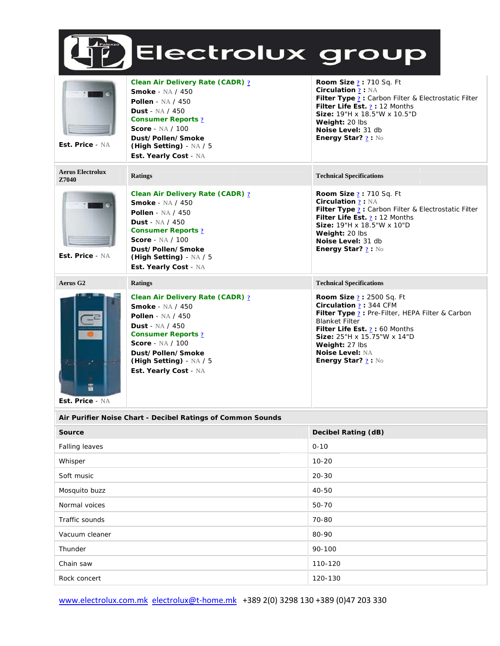

| Est. Price - NA                  | Clean Air Delivery Rate (CADR) ?<br><b>Smoke - NA / 450</b><br><b>Pollen</b> - NA / 450<br><b>Dust</b> - NA / 450<br><b>Consumer Reports ?</b><br>Score - $NA / 100$<br>Dust/Pollen/Smoke<br>(High Setting) - $NA / 5$<br>Est. Yearly Cost - NA             | <b>Room Size ?: 710 Sq. Ft</b><br><b>Circulation ?: NA</b><br>Filter Type ? : Carbon Filter & Electrostatic Filter<br>Filter Life Est. $2:12$ Months<br>Size: 19"H x 18.5"W x 10.5"D<br>Weight: 20 lbs<br>Noise Level: 31 db<br><b>Energy Star?</b> $? : \mathbb{N}$                           |
|----------------------------------|-------------------------------------------------------------------------------------------------------------------------------------------------------------------------------------------------------------------------------------------------------------|------------------------------------------------------------------------------------------------------------------------------------------------------------------------------------------------------------------------------------------------------------------------------------------------|
| <b>Aerus Electrolux</b><br>Z7040 | <b>Ratings</b>                                                                                                                                                                                                                                              | <b>Technical Specifications</b>                                                                                                                                                                                                                                                                |
| Est. Price - NA                  | <b>Clean Air Delivery Rate (CADR) ?</b><br><b>Smoke - NA / 450</b><br><b>Pollen</b> - NA / 450<br><b>Dust</b> - NA / 450<br><b>Consumer Reports ?</b><br><b>Score</b> - NA / 100<br>Dust/Pollen/Smoke<br>(High Setting) - $NA / 5$<br>Est. Yearly Cost - NA | <b>Room Size ?: 710 Sq. Ft</b><br><b>Circulation ?: NA</b><br>Filter Type ? : Carbon Filter & Electrostatic Filter<br>Filter Life Est. $2:12$ Months<br>Size: 19"H x 18.5"W x 10"D<br>Weight: 20 lbs<br>Noise Level: 31 db<br>Energy Star? ? : No                                              |
| Aerus G <sub>2</sub>             | <b>Ratings</b>                                                                                                                                                                                                                                              | <b>Technical Specifications</b>                                                                                                                                                                                                                                                                |
| Est. Price - NA                  | Clean Air Delivery Rate (CADR) 2<br><b>Smoke - NA / 450</b><br>Pollen - $NA / 450$<br>Dust - $NA / 450$<br><b>Consumer Reports ?</b><br><b>Score</b> - NA / 100<br>Dust/Pollen/Smoke<br>(High Setting) $- NA / 5$<br>Est. Yearly Cost - NA                  | <b>Room Size 2: 2500 Sq. Ft</b><br>Circulation $? : 344$ CFM<br>Filter Type ? : Pre-Filter, HEPA Filter & Carbon<br><b>Blanket Filter</b><br>Filter Life Est. $2:60$ Months<br>Size: 25"H x 15.75"W x 14"D<br>Weight: 27 lbs<br><b>Noise Level: NA</b><br><b>Energy Star?</b> $? : \mathbb{N}$ |

| Air Purifier Noise Chart - Decibel Ratings of Common Sounds |                     |  |  |
|-------------------------------------------------------------|---------------------|--|--|
| Source                                                      | Decibel Rating (dB) |  |  |
| Falling leaves                                              | $0 - 10$            |  |  |
| Whisper                                                     | $10 - 20$           |  |  |
| Soft music                                                  | $20 - 30$           |  |  |
| Mosquito buzz                                               | 40-50               |  |  |
| Normal voices                                               | 50-70               |  |  |
| Traffic sounds                                              | 70-80               |  |  |
| Vacuum cleaner                                              | 80-90               |  |  |
| Thunder                                                     | 90-100              |  |  |
| Chain saw                                                   | 110-120             |  |  |
| Rock concert                                                | 120-130             |  |  |
|                                                             |                     |  |  |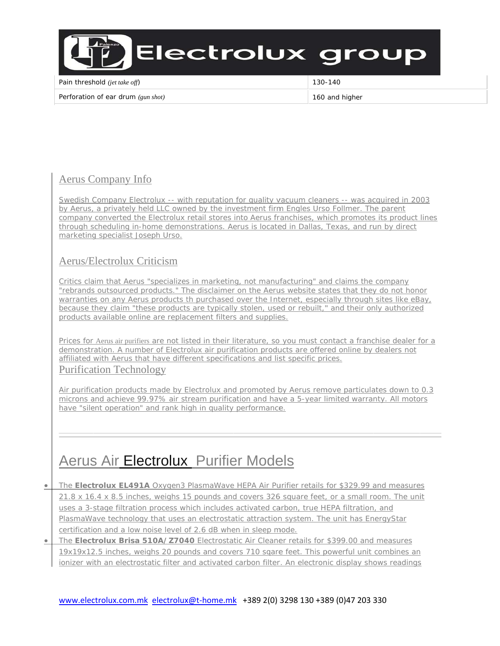

Pain threshold (jet take off)

130-140

Perforation of ear drum (gun shot)

160 and higher

### **Aerus Company Info**

Swedish Company Electrolux -- with reputation for quality vacuum cleaners -- was acquired in 2003 by Aerus, a privately held LLC owned by the investment firm Engles Urso Follmer. The parent company converted the Electrolux retail stores into Aerus franchises, which promotes its product lines through scheduling in-home demonstrations. Aerus is located in Dallas, Texas, and run by direct marketing specialist Joseph Urso.

#### Aerus/Electrolux Criticism

Critics claim that Aerus "specializes in marketing, not manufacturing" and claims the company "rebrands outsourced products." The disclaimer on the Aerus website states that they do not honor warranties on any Aerus products th purchased over the Internet, especially through sites like eBay, because they claim "these products are typically stolen, used or rebuilt," and their only authorized products available online are replacement filters and supplies.

Prices for Aerus air purifiers are not listed in their literature, so you must contact a franchise dealer for a demonstration. A number of Electrolux air purification products are offered online by dealers not affiliated with Aerus that have different specifications and list specific prices. **Purification Technology** 

Air purification products made by Electrolux and promoted by Aerus remove particulates down to 0.3 microns and achieve 99.97% air stream purification and have a 5-year limited warranty. All motors have "silent operation" and rank high in quality performance.

## Aerus Air Electrolux Purifier Models

The Electrolux EL491A Oxygen3 PlasmaWave HEPA Air Purifier retails for \$329.99 and measures  $\bullet$ 21.8 x 16.4 x 8.5 inches, weighs 15 pounds and covers 326 square feet, or a small room. The unit uses a 3-stage filtration process which includes activated carbon, true HEPA filtration, and PlasmaWave technology that uses an electrostatic attraction system. The unit has EnergyStar certification and a low noise level of 2.6 dB when in sleep mode.

The Electrolux Brisa 510A/Z7040 Electrostatic Air Cleaner retails for \$399.00 and measures  $\bullet$ 19x19x12.5 inches, weighs 20 pounds and covers 710 sgare feet. This powerful unit combines an ionizer with an electrostatic filter and activated carbon filter. An electronic display shows readings